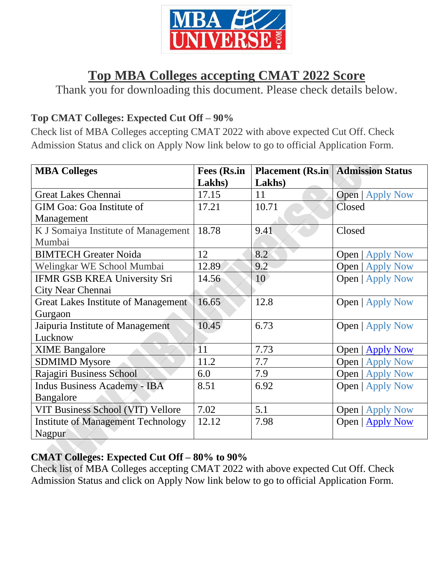

# **Top MBA Colleges accepting CMAT 2022 Score**

Thank you for downloading this document. Please check details below.

## **Top CMAT Colleges: Expected Cut Off – 90%**

Check list of MBA Colleges accepting CMAT 2022 with above expected Cut Off. Check Admission Status and click on Apply Now link below to go to official Application Form.

| <b>MBA Colleges</b>                        | <b>Fees (Rs.in</b> |        | <b>Placement (Rs.in   Admission Status</b> |
|--------------------------------------------|--------------------|--------|--------------------------------------------|
|                                            | Lakhs)             | Lakhs) |                                            |
| <b>Great Lakes Chennai</b>                 | 17.15              | 11     | <b>Open</b>   Apply Now                    |
| <b>GIM Goa: Goa Institute of</b>           | 17.21              | 10.71  | Closed                                     |
| Management                                 |                    |        |                                            |
| K J Somaiya Institute of Management        | 18.78              | 9.41   | Closed                                     |
| Mumbai                                     |                    |        |                                            |
| <b>BIMTECH Greater Noida</b>               | 12                 | 8.2    | <b>Open</b>   Apply Now                    |
| Welingkar WE School Mumbai                 | 12.89              | 9.2    | <b>Open</b>   Apply Now                    |
| <b>IFMR GSB KREA University Sri</b>        | 14.56              | 10     | <b>Open</b>   Apply Now                    |
| City Near Chennai                          |                    |        |                                            |
| <b>Great Lakes Institute of Management</b> | 16.65              | 12.8   | <b>Open</b>   Apply Now                    |
| Gurgaon                                    |                    |        |                                            |
| Jaipuria Institute of Management           | 10.45              | 6.73   | <b>Open</b>   Apply Now                    |
| Lucknow                                    |                    |        |                                            |
| <b>XIME Bangalore</b>                      | $\overline{11}$    | 7.73   | Open   Apply Now                           |
| <b>SDMIMD Mysore</b>                       | 11.2               | 7.7    | <b>Open</b>   Apply Now                    |
| Rajagiri Business School                   | 6.0                | 7.9    | <b>Open</b>   Apply Now                    |
| <b>Indus Business Academy - IBA</b>        | 8.51               | 6.92   | <b>Open</b>   Apply Now                    |
| Bangalore                                  |                    |        |                                            |
| VIT Business School (VIT) Vellore          | 7.02               | 5.1    | <b>Open</b>   Apply Now                    |
| <b>Institute of Management Technology</b>  | 12.12              | 7.98   | Open   Apply Now                           |
| Nagpur                                     |                    |        |                                            |

### **CMAT Colleges: Expected Cut Off – 80% to 90%**

Check list of MBA Colleges accepting CMAT 2022 with above expected Cut Off. Check Admission Status and click on Apply Now link below to go to official Application Form.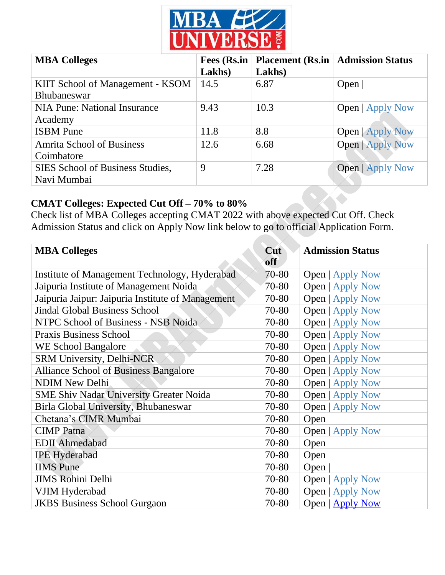

| <b>MBA Colleges</b>                                    | Fees (Rs.in<br>Lakhs) | <b>Placement (Rs.in   Admission Status</b><br>Lakhs) |                         |
|--------------------------------------------------------|-----------------------|------------------------------------------------------|-------------------------|
| KIIT School of Management - KSOM<br><b>Bhubaneswar</b> | 14.5                  | 6.87                                                 | Open $ $                |
| <b>NIA Pune: National Insurance</b><br>Academy         | 9.43                  | 10.3                                                 | <b>Open</b>   Apply Now |
| <b>ISBM</b> Pune                                       | 11.8                  | 8.8                                                  | <b>Open   Apply Now</b> |
| <b>Amrita School of Business</b><br>Coimbatore         | 12.6                  | 6.68                                                 | <b>Open   Apply Now</b> |
| SIES School of Business Studies,<br>Navi Mumbai        | 9                     | 7.28                                                 | <b>Open   Apply Now</b> |

# **CMAT Colleges: Expected Cut Off – 70% to 80%**

Check list of MBA Colleges accepting CMAT 2022 with above expected Cut Off. Check Admission Status and click on Apply Now link below to go to official Application Form.

| <b>MBA Colleges</b>                               |       | Cut<br><b>Admission Status</b> |  |
|---------------------------------------------------|-------|--------------------------------|--|
|                                                   | off   |                                |  |
| Institute of Management Technology, Hyderabad     | 70-80 | <b>Open</b>   Apply Now        |  |
| Jaipuria Institute of Management Noida            | 70-80 | <b>Open</b>   Apply Now        |  |
| Jaipuria Jaipur: Jaipuria Institute of Management | 70-80 | <b>Open</b>   Apply Now        |  |
| <b>Jindal Global Business School</b>              | 70-80 | <b>Open</b>   Apply Now        |  |
| NTPC School of Business - NSB Noida               | 70-80 | <b>Open</b>   Apply Now        |  |
| <b>Praxis Business School</b>                     | 70-80 | <b>Open</b>   Apply Now        |  |
| <b>WE School Bangalore</b>                        | 70-80 | <b>Open</b>   Apply Now        |  |
| SRM University, Delhi-NCR                         | 70-80 | <b>Open</b>   Apply Now        |  |
| <b>Alliance School of Business Bangalore</b>      | 70-80 | <b>Open</b>   Apply Now        |  |
| <b>NDIM New Delhi</b>                             | 70-80 | <b>Open</b>   Apply Now        |  |
| <b>SME Shiv Nadar University Greater Noida</b>    | 70-80 | <b>Open</b>   Apply Now        |  |
| Birla Global University, Bhubaneswar              | 70-80 | <b>Open</b>   Apply Now        |  |
| Chetana's CIMR Mumbai                             | 70-80 | Open                           |  |
| <b>CIMP</b> Patna                                 | 70-80 | <b>Open</b>   Apply Now        |  |
| <b>EDII</b> Ahmedabad                             | 70-80 | Open                           |  |
| <b>IPE Hyderabad</b>                              | 70-80 | Open                           |  |
| <b>IIMS</b> Pune                                  | 70-80 | Open                           |  |
| <b>JIMS Rohini Delhi</b>                          | 70-80 | <b>Open</b>   Apply Now        |  |
| VJIM Hyderabad                                    | 70-80 | <b>Open</b>   Apply Now        |  |
| <b>JKBS</b> Business School Gurgaon               | 70-80 | Open   Apply Now               |  |